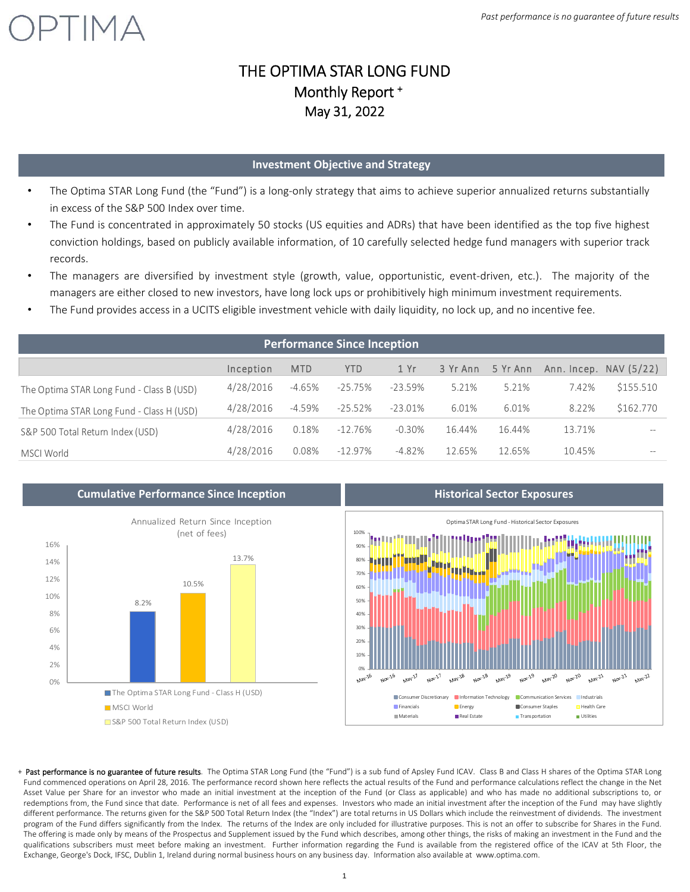### THE OPTIMA STAR LONG FUND Monthly Report + May 31, 2022

#### **Investment Objective and Strategy**

- The Optima STAR Long Fund (the "Fund") is a long-only strategy that aims to achieve superior annualized returns substantially in excess of the S&P 500 Index over time.
- The Fund is concentrated in approximately 50 stocks (US equities and ADRs) that have been identified as the top five highest conviction holdings, based on publicly available information, of 10 carefully selected hedge fund managers with superior track records.
- The managers are diversified by investment style (growth, value, opportunistic, event-driven, etc.). The majority of the managers are either closed to new investors, have long lock ups or prohibitively high minimum investment requirements.
- The Fund provides access in a UCITS eligible investment vehicle with daily liquidity, no lock up, and no incentive fee.

| <b>Performance Since Inception</b>        |           |            |            |            |          |          |        |                          |
|-------------------------------------------|-----------|------------|------------|------------|----------|----------|--------|--------------------------|
|                                           | Inception | <b>MTD</b> | <b>YTD</b> | 1 Yr       | 3 Yr Ann | 5 Yr Ann |        | Ann. Incep. $NAV (5/22)$ |
| The Optima STAR Long Fund - Class B (USD) | 4/28/2016 | $-4.65%$   | $-25.75\%$ | $-23.59%$  | 5.21%    | 5.21%    | 7.42%  | \$155.510                |
| The Optima STAR Long Fund - Class H (USD) | 4/28/2016 | $-4.59%$   | $-25.52\%$ | $-23.01\%$ | 6.01%    | 6.01%    | 8.22%  | \$162.770                |
| S&P 500 Total Return Index (USD)          | 4/28/2016 | 0.18%      | $-12.76\%$ | $-0.30\%$  | 16.44%   | 16.44%   | 13.71% | $- -$                    |
| MSCI World                                | 4/28/2016 | 0.08%      | $-12.97\%$ | $-4.82%$   | 12.65%   | 12.65%   | 10.45% | $- -$                    |



TIMA



+ Past performance is no guarantee of future results. The Optima STAR Long Fund (the "Fund") is a sub fund of Apsley Fund ICAV. Class B and Class H shares of the Optima STAR Long Fund commenced operations on April 28, 2016. The performance record shown here reflects the actual results of the Fund and performance calculations reflect the change in the Net Asset Value per Share for an investor who made an initial investment at the inception of the Fund (or Class as applicable) and who has made no additional subscriptions to, or redemptions from, the Fund since that date. Performance is net of all fees and expenses. Investors who made an initial investment after the inception of the Fund may have slightly different performance. The returns given for the S&P 500 Total Return Index (the "Index") are total returns in US Dollars which include the reinvestment of dividends. The investment program of the Fund differs significantly from the Index. The returns of the Index are only included for illustrative purposes. This is not an offer to subscribe for Shares in the Fund. The offering is made only by means of the Prospectus and Supplement issued by the Fund which describes, among other things, the risks of making an investment in the Fund and the qualifications subscribers must meet before making an investment. Further information regarding the Fund is available from the registered office of the ICAV at 5th Floor, the Exchange, George's Dock, IFSC, Dublin 1, Ireland during normal business hours on any business day. Information also available at www.optima.com.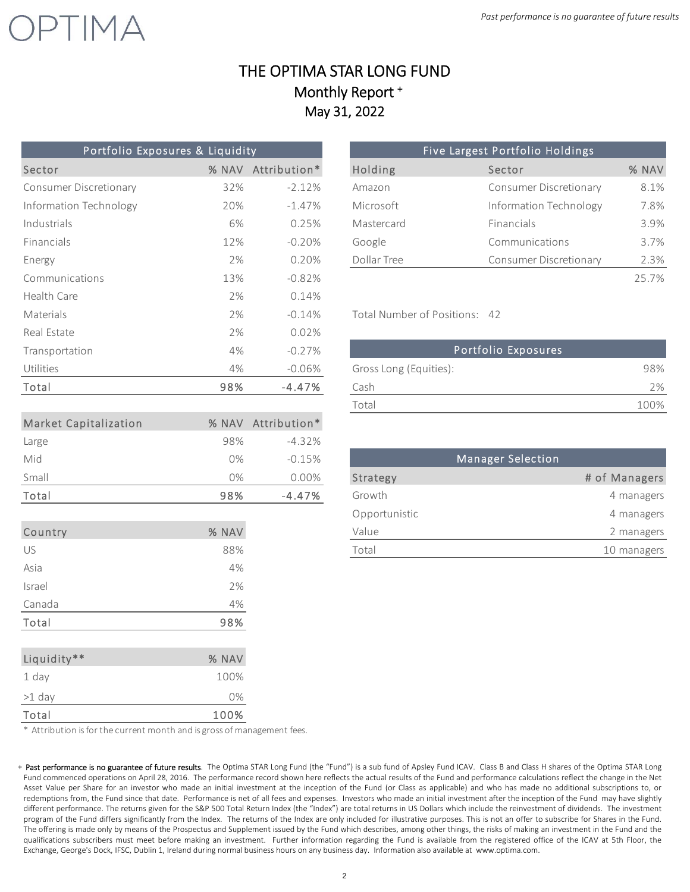### THE OPTIMA STAR LONG FUND Monthly Report + May 31, 2022

| Portfolio Exposures & Liquidity |       |                    |                               | Five Largest Portfolio Holdings |               |
|---------------------------------|-------|--------------------|-------------------------------|---------------------------------|---------------|
| Sector                          |       | % NAV Attribution* | Holding                       | Sector                          | % NAV         |
| <b>Consumer Discretionary</b>   | 32%   | $-2.12%$           | Amazon                        | <b>Consumer Discretionary</b>   | 8.1%          |
| Information Technology          | 20%   | $-1.47%$           | Microsoft                     | Information Technology          | 7.8%          |
| Industrials                     | 6%    | 0.25%              | Mastercard                    | Financials                      | 3.9%          |
| Financials                      | 12%   | $-0.20%$           | Google                        | Communications                  | 3.7%          |
| Energy                          | 2%    | 0.20%              | Dollar Tree                   | <b>Consumer Discretionary</b>   | 2.3%          |
| Communications                  | 13%   | $-0.82%$           |                               |                                 | 25.7%         |
| Health Care                     | 2%    | 0.14%              |                               |                                 |               |
| Materials                       | 2%    | $-0.14%$           | Total Number of Positions: 42 |                                 |               |
| Real Estate                     | 2%    | 0.02%              |                               |                                 |               |
| Transportation                  | 4%    | $-0.27%$           |                               | Portfolio Exposures             |               |
| Utilities                       | 4%    | $-0.06%$           | Gross Long (Equities):        |                                 | 98%           |
| Total                           | 98%   | $-4.47%$           | Cash                          |                                 | 2%            |
|                                 |       |                    | Total                         |                                 | 100%          |
| <b>Market Capitalization</b>    |       | % NAV Attribution* |                               |                                 |               |
| Large                           | 98%   | $-4.32%$           |                               |                                 |               |
| Mid                             | 0%    | $-0.15%$           |                               | <b>Manager Selection</b>        |               |
| Small                           | 0%    | $0.00\%$           | Strategy                      |                                 | # of Managers |
| Total                           | 98%   | $-4.47%$           | Growth                        |                                 | 4 managers    |
|                                 |       |                    | Opportunistic                 |                                 | 4 managers    |
| Country                         | % NAV |                    | Value                         |                                 | 2 managers    |
| US                              | 88%   |                    | Total                         |                                 | 10 managers   |
| Asia                            | 4%    |                    |                               |                                 |               |
| Israel                          | 2%    |                    |                               |                                 |               |

 $\sqrt{T}$  M $\Delta$ 

| Portfolio Exposures & Liquidity |       |                    |  |  |  |  |  |
|---------------------------------|-------|--------------------|--|--|--|--|--|
| Sector                          | % NAV | Attribution*       |  |  |  |  |  |
| Consumer Discretionary          | 32%   | $-2.12%$           |  |  |  |  |  |
| Information Technology          | 20%   | $-1.47\%$          |  |  |  |  |  |
| Industrials                     | 6%    | 0.25%              |  |  |  |  |  |
| Financials                      | 12%   | $-0.20\%$          |  |  |  |  |  |
| Energy                          | 2%    | 0.20%              |  |  |  |  |  |
| Communications                  | 120/  | $\cap$ 0 $\cap$ 0/ |  |  |  |  |  |

| Transportation | 4%  | $-0.27\%$ | Portfolio Exposures    |      |
|----------------|-----|-----------|------------------------|------|
| Utilities      | 4%  | $-0.06\%$ | Gross Long (Equities): | 98%  |
| Total          | 98% | $-4.47\%$ | Cash                   | 2%   |
|                |     |           | Total                  | 100% |

| 0%    | $-0.15%$ |               | Manager Selection |
|-------|----------|---------------|-------------------|
| 0%    | 0.00%    | Strategy      | # of Managers     |
| 98%   | $-4.47%$ | Growth        | 4 managers        |
|       |          | Opportunistic | 4 managers        |
| % NAV |          | Value         | 2 managers        |
| 88%   |          | Total         | 10 managers       |
|       |          |               |                   |

\* Attribution is for the current month and is gross of management fees.

Canada 4% Total 98%

Liquidity\*\* What we have so what we have so what we have so what we have so what we have so what we have so when  $\%$  NAV 1 day 100% >1 day 0% Total 100%

<sup>+</sup> Past performance is no guarantee of future results. The Optima STAR Long Fund (the "Fund") is a sub fund of Apsley Fund ICAV. Class B and Class H shares of the Optima STAR Long Fund commenced operations on April 28, 2016. The performance record shown here reflects the actual results of the Fund and performance calculations reflect the change in the Net Asset Value per Share for an investor who made an initial investment at the inception of the Fund (or Class as applicable) and who has made no additional subscriptions to, or redemptions from, the Fund since that date. Performance is net of all fees and expenses. Investors who made an initial investment after the inception of the Fund may have slightly different performance. The returns given for the S&P 500 Total Return Index (the "Index") are total returns in US Dollars which include the reinvestment of dividends. The investment program of the Fund differs significantly from the Index. The returns of the Index are only included for illustrative purposes. This is not an offer to subscribe for Shares in the Fund. The offering is made only by means of the Prospectus and Supplement issued by the Fund which describes, among other things, the risks of making an investment in the Fund and the qualifications subscribers must meet before making an investment. Further information regarding the Fund is available from the registered office of the ICAV at 5th Floor, the Exchange, George's Dock, IFSC, Dublin 1, Ireland during normal business hours on any business day. Information also available at www.optima.com.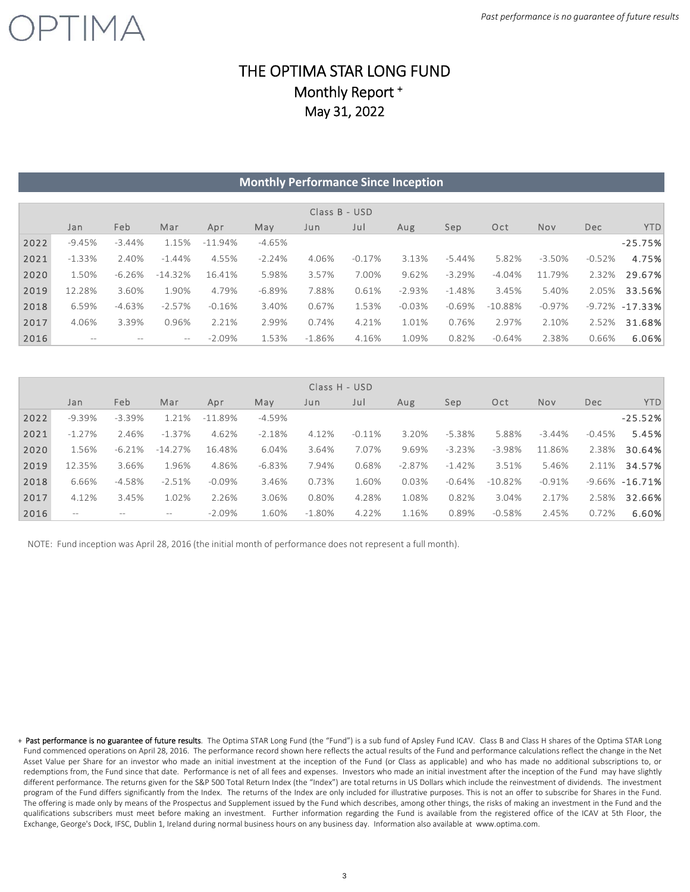## PTIMA

### THE OPTIMA STAR LONG FUND Monthly Report + May 31, 2022

|      |          |          |                   |            | <b>Monthly Performance Since Inception</b> |               |          |          |          |            |          |          |                    |
|------|----------|----------|-------------------|------------|--------------------------------------------|---------------|----------|----------|----------|------------|----------|----------|--------------------|
|      |          |          |                   |            |                                            |               |          |          |          |            |          |          |                    |
|      |          |          |                   |            |                                            | Class B - USD |          |          |          |            |          |          |                    |
|      | Jan      | Feb      | Mar               | Apr        | May                                        | Jun           | Jul      | Aug      | Sep      | Oct        | Nov      | Dec      | <b>YTD</b>         |
| 2022 | $-9.45%$ | $-3.44%$ | 1.15%             | $-11.94\%$ | $-4.65%$                                   |               |          |          |          |            |          |          | $-25.75%$          |
| 2021 | $-1.33%$ | 2.40%    | $-1.44%$          | 4.55%      | $-2.24%$                                   | 4.06%         | $-0.17%$ | 3.13%    | $-5.44%$ | 5.82%      | $-3.50%$ | $-0.52%$ | 4.75%              |
| 2020 | 1.50%    | $-6.26%$ | $-14.32%$         | 16.41%     | 5.98%                                      | 3.57%         | 7.00%    | 9.62%    | $-3.29%$ | $-4.04%$   | 11.79%   | 2.32%    | 29.67%             |
| 2019 | 12.28%   | 3.60%    | 1.90%             | 4.79%      | $-6.89%$                                   | 7.88%         | 0.61%    | $-2.93%$ | $-1.48%$ | 3.45%      | 5.40%    | 2.05%    | 33.56%             |
| 2018 | 6.59%    | $-4.63%$ | $-2.57%$          | $-0.16%$   | 3.40%                                      | 0.67%         | 1.53%    | $-0.03%$ | $-0.69%$ | $-10.88\%$ | $-0.97%$ |          | $-9.72\% -17.33\%$ |
| 2017 | 4.06%    | 3.39%    | 0.96%             | 2.21%      | 2.99%                                      | 0.74%         | 4.21%    | 1.01%    | 0.76%    | 2.97%      | 2.10%    | 2.52%    | 31.68%             |
| 2016 | $--$     |          | $\qquad \qquad -$ | $-2.09%$   | 1.53%                                      | $-1.86%$      | 4.16%    | 1.09%    | 0.82%    | $-0.64%$   | 2.38%    | 0.66%    | 6.06%              |

| Class H - USD |          |           |                   |            |          |           |          |           |          |           |          |            |                    |
|---------------|----------|-----------|-------------------|------------|----------|-----------|----------|-----------|----------|-----------|----------|------------|--------------------|
|               | Jan      | Feb.      | Mar               | Apr        | May      | Jun       | Jul      | Aug       | Sep      | Oct       | Nov      | <b>Dec</b> | YTD.               |
| 2022          | $-9.39%$ | $-3.39\%$ | 1.21%             | $-11.89\%$ | $-4.59%$ |           |          |           |          |           |          |            | $-25.52%$          |
| 2021          | $-1.27%$ | 2.46%     | $-1.37\%$         | 4.62%      | $-2.18%$ | 4.12%     | $-0.11%$ | 3.20%     | $-5.38%$ | 5.88%     | $-3.44%$ | $-0.45%$   | 5.45%              |
| 2020          | 1.56%    | $-6.21%$  | $-14.27%$         | 16.48%     | 6.04%    | 3.64%     | 7.07%    | 9.69%     | $-3.23%$ | $-3.98%$  | 11.86%   | 2.38%      | 30.64%             |
| 2019          | 12.35%   | 3.66%     | 1.96%             | 4.86%      | $-6.83%$ | 7.94%     | 0.68%    | $-2.87\%$ | $-1.42%$ | 3.51%     | 5.46%    | 2.11%      | 34.57%             |
| 2018          | 6.66%    | -4.58%    | $-2.51%$          | $-0.09%$   | 3.46%    | 0.73%     | 1.60%    | 0.03%     | $-0.64%$ | $-10.82%$ | $-0.91%$ |            | $-9.66\% -16.71\%$ |
| 2017          | 4.12%    | 3.45%     | 1.02%             | 2.26%      | 3.06%    | 0.80%     | 4.28%    | 1.08%     | 0.82%    | 3.04%     | 2.17%    | 2.58%      | 32.66%             |
| 2016          | $--$     |           | $\qquad \qquad -$ | $-2.09%$   | 1.60%    | $-1.80\%$ | 4.22%    | 1.16%     | 0.89%    | $-0.58%$  | 2.45%    | 0.72%      | 6.60%              |

NOTE: Fund inception was April 28, 2016 (the initial month of performance does not represent a full month).

+ Past performance is no guarantee of future results. The Optima STAR Long Fund (the "Fund") is a sub fund of Apsley Fund ICAV. Class B and Class H shares of the Optima STAR Long Fund commenced operations on April 28, 2016. The performance record shown here reflects the actual results of the Fund and performance calculations reflect the change in the Net Asset Value per Share for an investor who made an initial investment at the inception of the Fund (or Class as applicable) and who has made no additional subscriptions to, or redemptions from, the Fund since that date. Performance is net of all fees and expenses. Investors who made an initial investment after the inception of the Fund may have slightly different performance. The returns given for the S&P 500 Total Return Index (the "Index") are total returns in US Dollars which include the reinvestment of dividends. The investment program of the Fund differs significantly from the Index. The returns of the Index are only included for illustrative purposes. This is not an offer to subscribe for Shares in the Fund. The offering is made only by means of the Prospectus and Supplement issued by the Fund which describes, among other things, the risks of making an investment in the Fund and the qualifications subscribers must meet before making an investment. Further information regarding the Fund is available from the registered office of the ICAV at 5th Floor, the Exchange, George's Dock, IFSC, Dublin 1, Ireland during normal business hours on any business day. Information also available at www.optima.com.